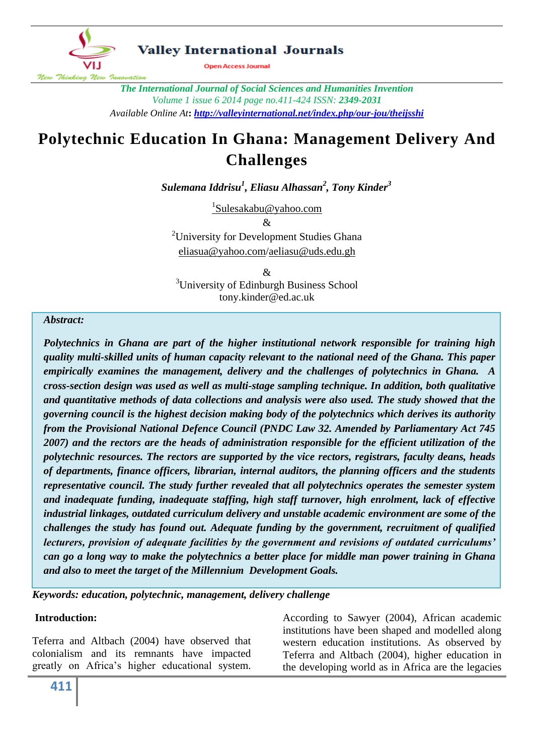

*The International Journal of Social Sciences and Humanities Invention Volume 1 issue 6 2014 page no.411-424 ISSN: 2349-2031 Available Online At***:** *<http://valleyinternational.net/index.php/our-jou/theijsshi>*

# **Polytechnic Education In Ghana: Management Delivery And Challenges**

*Sulemana Iddrisu<sup>1</sup> , Eliasu Alhassan<sup>2</sup> , Tony Kinder<sup>3</sup>*

<sup>1</sup>[Sulesakabu@yahoo.com](mailto:1Sulesakabu@yahoo.com) &

<sup>2</sup>University for Development Studies Ghana [eliasua@yahoo.com/](mailto:eliasua@yahoo.com)[aeliasu@uds.edu.gh](mailto:aeliasu@uds.edu.gh)

& <sup>3</sup>University of Edinburgh Business School tony.kinder@ed.ac.uk

#### *Abstract:*

*Polytechnics in Ghana are part of the higher institutional network responsible for training high quality multi-skilled units of human capacity relevant to the national need of the Ghana. This paper empirically examines the management, delivery and the challenges of polytechnics in Ghana. A cross-section design was used as well as multi-stage sampling technique. In addition, both qualitative and quantitative methods of data collections and analysis were also used. The study showed that the governing council is the highest decision making body of the polytechnics which derives its authority from the Provisional National Defence Council (PNDC Law 32. Amended by Parliamentary Act 745 2007) and the rectors are the heads of administration responsible for the efficient utilization of the polytechnic resources. The rectors are supported by the vice rectors, registrars, faculty deans, heads of departments, finance officers, librarian, internal auditors, the planning officers and the students representative council. The study further revealed that all polytechnics operates the semester system and inadequate funding, inadequate staffing, high staff turnover, high enrolment, lack of effective industrial linkages, outdated curriculum delivery and unstable academic environment are some of the challenges the study has found out. Adequate funding by the government, recruitment of qualified lecturers, provision of adequate facilities by the government and revisions of outdated curriculums' can go a long way to make the polytechnics a better place for middle man power training in Ghana and also to meet the target of the Millennium Development Goals.*

*Keywords: education, polytechnic, management, delivery challenge*

## **Introduction:**

Teferra and Altbach (2004) have observed that colonialism and its remnants have impacted greatly on Africa's higher educational system.

According to Sawyer (2004), African academic institutions have been shaped and modelled along western education institutions. As observed by Teferra and Altbach (2004), higher education in the developing world as in Africa are the legacies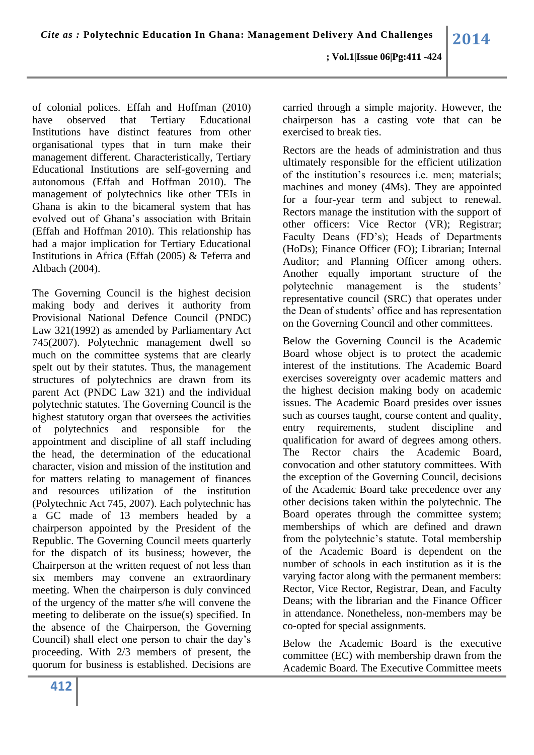of colonial polices*.* Effah and Hoffman (2010) have observed that Tertiary Educational Institutions have distinct features from other organisational types that in turn make their management different. Characteristically, Tertiary Educational Institutions are self-governing and autonomous (Effah and Hoffman 2010). The management of polytechnics like other TEIs in Ghana is akin to the bicameral system that has evolved out of Ghana's association with Britain (Effah and Hoffman 2010). This relationship has had a major implication for Tertiary Educational Institutions in Africa (Effah (2005) & Teferra and Altbach (2004).

The Governing Council is the highest decision making body and derives it authority from Provisional National Defence Council (PNDC) Law 321(1992) as amended by Parliamentary Act 745(2007). Polytechnic management dwell so much on the committee systems that are clearly spelt out by their statutes. Thus, the management structures of polytechnics are drawn from its parent Act (PNDC Law 321) and the individual polytechnic statutes. The Governing Council is the highest statutory organ that oversees the activities of polytechnics and responsible for the appointment and discipline of all staff including the head, the determination of the educational character, vision and mission of the institution and for matters relating to management of finances and resources utilization of the institution (Polytechnic Act 745, 2007). Each polytechnic has a GC made of 13 members headed by a chairperson appointed by the President of the Republic. The Governing Council meets quarterly for the dispatch of its business; however, the Chairperson at the written request of not less than six members may convene an extraordinary meeting. When the chairperson is duly convinced of the urgency of the matter s/he will convene the meeting to deliberate on the issue(s) specified. In the absence of the Chairperson, the Governing Council) shall elect one person to chair the day's proceeding. With 2/3 members of present, the quorum for business is established. Decisions are carried through a simple majority. However, the chairperson has a casting vote that can be exercised to break ties.

Rectors are the heads of administration and thus ultimately responsible for the efficient utilization of the institution's resources i.e. men; materials; machines and money (4Ms). They are appointed for a four-year term and subject to renewal. Rectors manage the institution with the support of other officers: Vice Rector (VR); Registrar; Faculty Deans (FD's); Heads of Departments (HoDs); Finance Officer (FO); Librarian; Internal Auditor; and Planning Officer among others. Another equally important structure of the polytechnic management is the students' representative council (SRC) that operates under the Dean of students' office and has representation on the Governing Council and other committees.

Below the Governing Council is the Academic Board whose object is to protect the academic interest of the institutions. The Academic Board exercises sovereignty over academic matters and the highest decision making body on academic issues. The Academic Board presides over issues such as courses taught, course content and quality, entry requirements, student discipline and qualification for award of degrees among others. The Rector chairs the Academic Board, convocation and other statutory committees. With the exception of the Governing Council, decisions of the Academic Board take precedence over any other decisions taken within the polytechnic. The Board operates through the committee system; memberships of which are defined and drawn from the polytechnic's statute. Total membership of the Academic Board is dependent on the number of schools in each institution as it is the varying factor along with the permanent members: Rector, Vice Rector, Registrar, Dean, and Faculty Deans; with the librarian and the Finance Officer in attendance. Nonetheless, non-members may be co-opted for special assignments.

Below the Academic Board is the executive committee (EC) with membership drawn from the Academic Board. The Executive Committee meets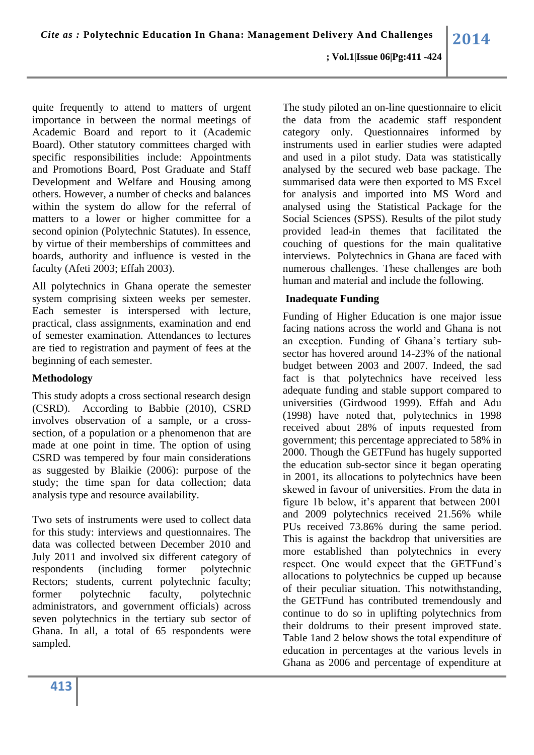#### **; Vol.1|Issue 06|Pg:411 -424**

quite frequently to attend to matters of urgent importance in between the normal meetings of Academic Board and report to it (Academic Board). Other statutory committees charged with specific responsibilities include: Appointments and Promotions Board, Post Graduate and Staff Development and Welfare and Housing among others. However, a number of checks and balances within the system do allow for the referral of matters to a lower or higher committee for a second opinion (Polytechnic Statutes). In essence, by virtue of their memberships of committees and boards, authority and influence is vested in the faculty (Afeti 2003; Effah 2003).

All polytechnics in Ghana operate the semester system comprising sixteen weeks per semester. Each semester is interspersed with lecture, practical, class assignments, examination and end of semester examination. Attendances to lectures are tied to registration and payment of fees at the beginning of each semester.

## **Methodology**

This study adopts a cross sectional research design (CSRD). According to Babbie (2010), CSRD involves observation of a sample, or a crosssection, of a population or a phenomenon that are made at one point in time. The option of using CSRD was tempered by four main considerations as suggested by Blaikie (2006): purpose of the study; the time span for data collection; data analysis type and resource availability.

Two sets of instruments were used to collect data for this study: interviews and questionnaires. The data was collected between December 2010 and July 2011 and involved six different category of respondents (including former polytechnic Rectors; students, current polytechnic faculty; former polytechnic faculty, polytechnic administrators, and government officials) across seven polytechnics in the tertiary sub sector of Ghana. In all, a total of 65 respondents were sampled.

The study piloted an on-line questionnaire to elicit the data from the academic staff respondent category only. Questionnaires informed by instruments used in earlier studies were adapted and used in a pilot study. Data was statistically analysed by the secured web base package. The summarised data were then exported to MS Excel for analysis and imported into MS Word and analysed using the Statistical Package for the Social Sciences (SPSS). Results of the pilot study provided lead-in themes that facilitated the couching of questions for the main qualitative interviews. Polytechnics in Ghana are faced with numerous challenges. These challenges are both human and material and include the following.

#### **Inadequate Funding**

Funding of Higher Education is one major issue facing nations across the world and Ghana is not an exception. Funding of Ghana's tertiary subsector has hovered around 14-23% of the national budget between 2003 and 2007. Indeed, the sad fact is that polytechnics have received less adequate funding and stable support compared to universities (Girdwood 1999). Effah and Adu (1998) have noted that, polytechnics in 1998 received about 28% of inputs requested from government; this percentage appreciated to 58% in 2000. Though the GETFund has hugely supported the education sub-sector since it began operating in 2001, its allocations to polytechnics have been skewed in favour of universities. From the data in figure 1b below, it's apparent that between 2001 and 2009 polytechnics received 21.56% while PUs received 73.86% during the same period. This is against the backdrop that universities are more established than polytechnics in every respect. One would expect that the GETFund's allocations to polytechnics be cupped up because of their peculiar situation. This notwithstanding, the GETFund has contributed tremendously and continue to do so in uplifting polytechnics from their doldrums to their present improved state. Table 1and 2 below shows the total expenditure of education in percentages at the various levels in Ghana as 2006 and percentage of expenditure at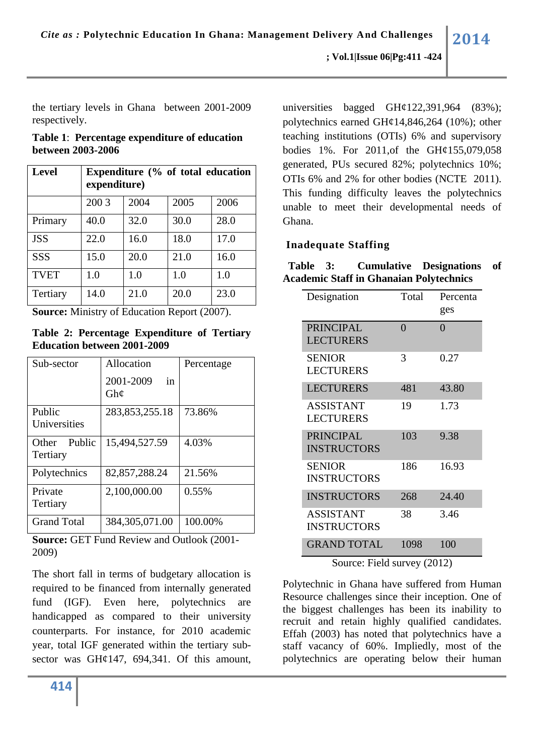the tertiary levels in Ghana between 2001-2009 respectively.

**Table 1**: **Percentage expenditure of education between 2003-2006**

| <b>Level</b> | Expenditure (% of total education<br>expenditure) |      |      |      |  |  |  |  |  |
|--------------|---------------------------------------------------|------|------|------|--|--|--|--|--|
|              | 200 3                                             | 2004 | 2005 | 2006 |  |  |  |  |  |
| Primary      | 40.0                                              | 32.0 | 30.0 | 28.0 |  |  |  |  |  |
| <b>JSS</b>   | 22.0                                              | 16.0 | 18.0 | 17.0 |  |  |  |  |  |
| <b>SSS</b>   | 15.0                                              | 20.0 | 21.0 | 16.0 |  |  |  |  |  |
| <b>TVET</b>  | 1.0                                               | 1.0  | 1.0  | 1.0  |  |  |  |  |  |
| Tertiary     | 14.0                                              | 21.0 | 20.0 | 23.0 |  |  |  |  |  |

**Source:** Ministry of Education Report (2007).

**Table 2: Percentage Expenditure of Tertiary Education between 2001-2009**

| Sub-sector         | Allocation             | Percentage |  |  |  |
|--------------------|------------------------|------------|--|--|--|
|                    | 2001-2009<br>in<br>Gh¢ |            |  |  |  |
| Public             | 283, 853, 255. 18      | 73.86%     |  |  |  |
| Universities       |                        |            |  |  |  |
| Public<br>Other    | 15,494,527.59          | 4.03%      |  |  |  |
| Tertiary           |                        |            |  |  |  |
| Polytechnics       | 82, 857, 288. 24       | 21.56%     |  |  |  |
| Private            | 2,100,000.00           | 0.55%      |  |  |  |
| Tertiary           |                        |            |  |  |  |
| <b>Grand Total</b> | 384, 305, 071.00       | 100.00%    |  |  |  |

**Source:** GET Fund Review and Outlook (2001- 2009)

The short fall in terms of budgetary allocation is required to be financed from internally generated fund (IGF). Even here, polytechnics are handicapped as compared to their university counterparts. For instance, for 2010 academic year, total IGF generated within the tertiary subsector was GH¢147, 694,341. Of this amount,

universities bagged GH¢122,391,964 (83%); polytechnics earned GH $\varphi$ 14,846,264 (10%); other teaching institutions (OTIs) 6% and supervisory bodies 1%. For 2011,of the GH¢155,079,058 generated, PUs secured 82%; polytechnics 10%; OTIs 6% and 2% for other bodies (NCTE 2011). This funding difficulty leaves the polytechnics unable to meet their developmental needs of Ghana.

## **Inadequate Staffing**

| Table 3: |                                                | <b>Cumulative Designations of</b> |  |
|----------|------------------------------------------------|-----------------------------------|--|
|          | <b>Academic Staff in Ghanaian Polytechnics</b> |                                   |  |

| Designation                            | Total    | Percenta<br>ges |
|----------------------------------------|----------|-----------------|
| <b>PRINCIPAL</b><br><b>LECTURERS</b>   | $\Omega$ | 0               |
| <b>SENIOR</b><br>LECTURERS             | 3        | 0.27            |
| <b>LECTURERS</b>                       | 481      | 43.80           |
| <b>ASSISTANT</b><br><b>LECTURERS</b>   | 19       | 1.73            |
| <b>PRINCIPAL</b><br><b>INSTRUCTORS</b> | 103      | 9.38            |
| <b>SENIOR</b><br><b>INSTRUCTORS</b>    | 186      | 16.93           |
| <b>INSTRUCTORS</b>                     | 268      | 24.40           |
| <b>ASSISTANT</b><br><b>INSTRUCTORS</b> | 38       | 3.46            |
| <b>GRAND TOTAL</b>                     | 1098     | 100             |

Source: Field survey (2012)

Polytechnic in Ghana have suffered from Human Resource challenges since their inception. One of the biggest challenges has been its inability to recruit and retain highly qualified candidates. Effah (2003) has noted that polytechnics have a staff vacancy of 60%. Impliedly, most of the polytechnics are operating below their human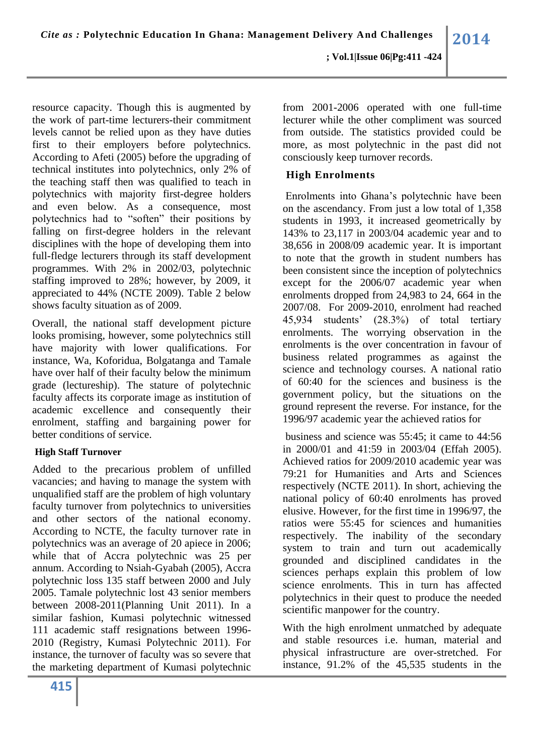resource capacity. Though this is augmented by the work of part-time lecturers-their commitment levels cannot be relied upon as they have duties first to their employers before polytechnics. According to Afeti (2005) before the upgrading of technical institutes into polytechnics, only 2% of the teaching staff then was qualified to teach in polytechnics with majority first-degree holders and even below. As a consequence, most polytechnics had to "soften" their positions by falling on first-degree holders in the relevant disciplines with the hope of developing them into full-fledge lecturers through its staff development programmes. With 2% in 2002/03, polytechnic staffing improved to 28%; however, by 2009, it appreciated to 44% (NCTE 2009). Table 2 below shows faculty situation as of 2009.

Overall, the national staff development picture looks promising, however, some polytechnics still have majority with lower qualifications. For instance, Wa, Koforidua, Bolgatanga and Tamale have over half of their faculty below the minimum grade (lectureship). The stature of polytechnic faculty affects its corporate image as institution of academic excellence and consequently their enrolment, staffing and bargaining power for better conditions of service.

## **High Staff Turnover**

Added to the precarious problem of unfilled vacancies; and having to manage the system with unqualified staff are the problem of high voluntary faculty turnover from polytechnics to universities and other sectors of the national economy. According to NCTE, the faculty turnover rate in polytechnics was an average of 20 apiece in 2006; while that of Accra polytechnic was 25 per annum. According to Nsiah-Gyabah (2005), Accra polytechnic loss 135 staff between 2000 and July 2005. Tamale polytechnic lost 43 senior members between 2008-2011(Planning Unit 2011). In a similar fashion, Kumasi polytechnic witnessed 111 academic staff resignations between 1996- 2010 (Registry, Kumasi Polytechnic 2011). For instance, the turnover of faculty was so severe that the marketing department of Kumasi polytechnic

from 2001-2006 operated with one full-time lecturer while the other compliment was sourced from outside. The statistics provided could be more, as most polytechnic in the past did not consciously keep turnover records.

# **High Enrolments**

Enrolments into Ghana's polytechnic have been on the ascendancy. From just a low total of 1,358 students in 1993, it increased geometrically by 143% to 23,117 in 2003/04 academic year and to 38,656 in 2008/09 academic year. It is important to note that the growth in student numbers has been consistent since the inception of polytechnics except for the 2006/07 academic year when enrolments dropped from 24,983 to 24, 664 in the 2007/08. For 2009-2010, enrolment had reached 45,934 students' (28.3%) of total tertiary enrolments. The worrying observation in the enrolments is the over concentration in favour of business related programmes as against the science and technology courses. A national ratio of 60:40 for the sciences and business is the government policy, but the situations on the ground represent the reverse. For instance, for the 1996/97 academic year the achieved ratios for

business and science was 55:45; it came to 44:56 in 2000/01 and 41:59 in 2003/04 (Effah 2005). Achieved ratios for 2009/2010 academic year was 79:21 for Humanities and Arts and Sciences respectively (NCTE 2011). In short, achieving the national policy of 60:40 enrolments has proved elusive. However, for the first time in 1996/97, the ratios were 55:45 for sciences and humanities respectively. The inability of the secondary system to train and turn out academically grounded and disciplined candidates in the sciences perhaps explain this problem of low science enrolments. This in turn has affected polytechnics in their quest to produce the needed scientific manpower for the country.

With the high enrolment unmatched by adequate and stable resources i.e. human, material and physical infrastructure are over-stretched. For instance, 91.2% of the 45,535 students in the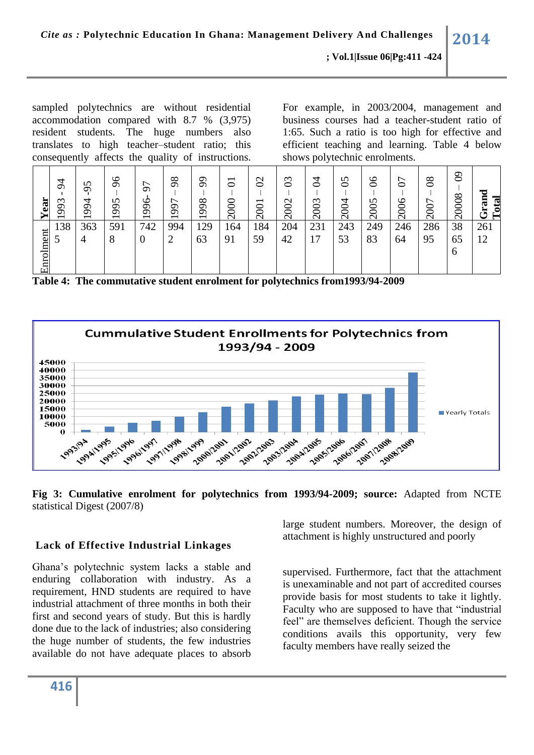sampled polytechnics are without residential accommodation compared with 8.7 % (3,975) resident students. The huge numbers also translates to high teacher–student ratio; this consequently affects the quality of instructions. For example, in 2003/2004, management and business courses had a teacher-student ratio of 1:65. Such a ratio is too high for effective and efficient teaching and learning. Table 4 below shows polytechnic enrolments.  $\overline{\phantom{0}}$ 

| Year      | $\overline{5}$<br>$\omega$<br>$\sigma$<br>ᡋ<br>$\overline{\phantom{0}}$ | $\sim$<br>$\sigma$<br>994<br>$\overline{\phantom{0}}$ | $\delta$<br>n<br>$\mathfrak{S}$<br>$\overline{\phantom{0}}$ | 57<br>996<br>$\overline{\phantom{0}}$ | 98<br>∼<br>66<br>$\overline{\phantom{0}}$ | 99<br>998<br>$\overline{\phantom{0}}$ | $\overline{5}$<br>800<br>$\overline{\mathsf{C}}$ | $\mathfrak{S}% _{A}^{\alpha\beta}$<br>2001 | $\mathfrak{S}$<br>2002 | 혼<br>2003 | $\mathcal{S}$<br>2004 | 8 <sup>o</sup><br>2005 | 5<br>৩<br>$\overline{200}$ | $80^{\circ}$<br>2007 | ව<br>20008               | ರ<br>$\mathbb{Z}$<br>C)<br>$\Xi$<br>ڻ |
|-----------|-------------------------------------------------------------------------|-------------------------------------------------------|-------------------------------------------------------------|---------------------------------------|-------------------------------------------|---------------------------------------|--------------------------------------------------|--------------------------------------------|------------------------|-----------|-----------------------|------------------------|----------------------------|----------------------|--------------------------|---------------------------------------|
| Enrolment | 138                                                                     | 363<br>4                                              | 591<br>8                                                    | 742<br>$\overline{0}$                 | 994<br>2                                  | 129<br>63                             | 164<br>91                                        | 184<br>59                                  | 204<br>42              | 231<br>17 | 243<br>53             | 249<br>83              | 246<br>64                  | 286<br>95            | 38<br>65<br><sub>0</sub> | 261<br>12                             |

**Table 4: The commutative student enrolment for polytechnics from1993/94-2009**



**Fig 3: Cumulative enrolment for polytechnics from 1993/94-2009; source:** Adapted from NCTE statistical Digest (2007/8)

# **Lack of Effective Industrial Linkages**

Ghana's polytechnic system lacks a stable and enduring collaboration with industry. As a requirement, HND students are required to have industrial attachment of three months in both their first and second years of study. But this is hardly done due to the lack of industries; also considering the huge number of students, the few industries available do not have adequate places to absorb

large student numbers. Moreover, the design of attachment is highly unstructured and poorly

supervised. Furthermore, fact that the attachment is unexaminable and not part of accredited courses provide basis for most students to take it lightly. Faculty who are supposed to have that "industrial feel" are themselves deficient. Though the service conditions avails this opportunity, very few faculty members have really seized the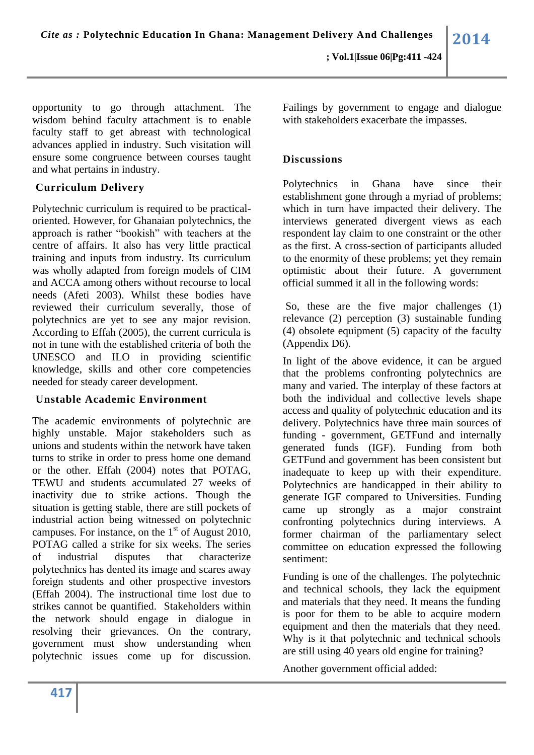opportunity to go through attachment. The wisdom behind faculty attachment is to enable faculty staff to get abreast with technological advances applied in industry. Such visitation will ensure some congruence between courses taught and what pertains in industry.

## **Curriculum Delivery**

Polytechnic curriculum is required to be practicaloriented. However, for Ghanaian polytechnics, the approach is rather "bookish" with teachers at the centre of affairs. It also has very little practical training and inputs from industry. Its curriculum was wholly adapted from foreign models of CIM and ACCA among others without recourse to local needs (Afeti 2003). Whilst these bodies have reviewed their curriculum severally, those of polytechnics are yet to see any major revision. According to Effah (2005), the current curricula is not in tune with the established criteria of both the UNESCO and ILO in providing scientific knowledge, skills and other core competencies needed for steady career development.

# **Unstable Academic Environment**

The academic environments of polytechnic are highly unstable. Major stakeholders such as unions and students within the network have taken turns to strike in order to press home one demand or the other. Effah (2004) notes that POTAG, TEWU and students accumulated 27 weeks of inactivity due to strike actions. Though the situation is getting stable, there are still pockets of industrial action being witnessed on polytechnic campuses. For instance, on the  $1<sup>st</sup>$  of August 2010, POTAG called a strike for six weeks. The series of industrial disputes that characterize polytechnics has dented its image and scares away foreign students and other prospective investors (Effah 2004). The instructional time lost due to strikes cannot be quantified. Stakeholders within the network should engage in dialogue in resolving their grievances. On the contrary, government must show understanding when polytechnic issues come up for discussion.

Failings by government to engage and dialogue with stakeholders exacerbate the impasses.

# **Discussions**

Polytechnics in Ghana have since their establishment gone through a myriad of problems; which in turn have impacted their delivery. The interviews generated divergent views as each respondent lay claim to one constraint or the other as the first. A cross-section of participants alluded to the enormity of these problems; yet they remain optimistic about their future. A government official summed it all in the following words:

So, these are the five major challenges (1) relevance (2) perception (3) sustainable funding (4) obsolete equipment (5) capacity of the faculty (Appendix D6).

In light of the above evidence, it can be argued that the problems confronting polytechnics are many and varied. The interplay of these factors at both the individual and collective levels shape access and quality of polytechnic education and its delivery. Polytechnics have three main sources of funding - government, GETFund and internally generated funds (IGF). Funding from both GETFund and government has been consistent but inadequate to keep up with their expenditure. Polytechnics are handicapped in their ability to generate IGF compared to Universities. Funding came up strongly as a major constraint confronting polytechnics during interviews. A former chairman of the parliamentary select committee on education expressed the following sentiment:

Funding is one of the challenges. The polytechnic and technical schools, they lack the equipment and materials that they need. It means the funding is poor for them to be able to acquire modern equipment and then the materials that they need. Why is it that polytechnic and technical schools are still using 40 years old engine for training?

Another government official added: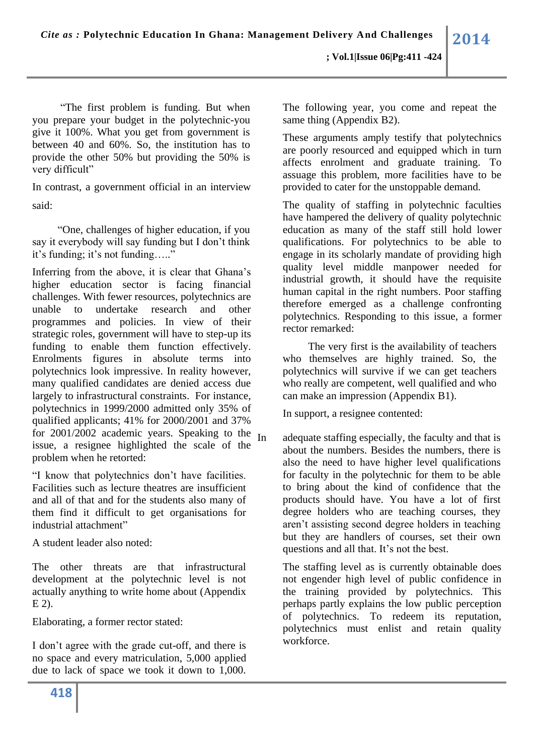"The first problem is funding. But when you prepare your budget in the polytechnic-you give it 100%. What you get from government is between 40 and 60%. So, the institution has to provide the other 50% but providing the 50% is very difficult"

In contrast, a government official in an interview said:

"One, challenges of higher education, if you say it everybody will say funding but I don't think it's funding; it's not funding….."

Inferring from the above, it is clear that Ghana's higher education sector is facing financial challenges. With fewer resources, polytechnics are unable to undertake research and other programmes and policies. In view of their strategic roles, government will have to step-up its funding to enable them function effectively. Enrolments figures in absolute terms into polytechnics look impressive. In reality however, many qualified candidates are denied access due largely to infrastructural constraints. For instance, polytechnics in 1999/2000 admitted only 35% of qualified applicants; 41% for 2000/2001 and 37% for  $2001/2002$  academic years. Speaking to the  $I_n$ issue, a resignee highlighted the scale of the problem when he retorted:

"I know that polytechnics don't have facilities. Facilities such as lecture theatres are insufficient and all of that and for the students also many of them find it difficult to get organisations for industrial attachment"

A student leader also noted:

The other threats are that infrastructural development at the polytechnic level is not actually anything to write home about (Appendix E 2).

Elaborating, a former rector stated:

I don't agree with the grade cut-off, and there is no space and every matriculation, 5,000 applied due to lack of space we took it down to 1,000. The following year, you come and repeat the same thing (Appendix B2).

These arguments amply testify that polytechnics are poorly resourced and equipped which in turn affects enrolment and graduate training. To assuage this problem, more facilities have to be provided to cater for the unstoppable demand.

The quality of staffing in polytechnic faculties have hampered the delivery of quality polytechnic education as many of the staff still hold lower qualifications. For polytechnics to be able to engage in its scholarly mandate of providing high quality level middle manpower needed for industrial growth, it should have the requisite human capital in the right numbers. Poor staffing therefore emerged as a challenge confronting polytechnics. Responding to this issue, a former rector remarked:

The very first is the availability of teachers who themselves are highly trained. So, the polytechnics will survive if we can get teachers who really are competent, well qualified and who can make an impression (Appendix B1).

In support, a resignee contented:

adequate staffing especially, the faculty and that is about the numbers. Besides the numbers, there is also the need to have higher level qualifications for faculty in the polytechnic for them to be able to bring about the kind of confidence that the products should have. You have a lot of first degree holders who are teaching courses, they aren't assisting second degree holders in teaching but they are handlers of courses, set their own questions and all that. It's not the best.

The staffing level as is currently obtainable does not engender high level of public confidence in the training provided by polytechnics. This perhaps partly explains the low public perception of polytechnics. To redeem its reputation, polytechnics must enlist and retain quality workforce.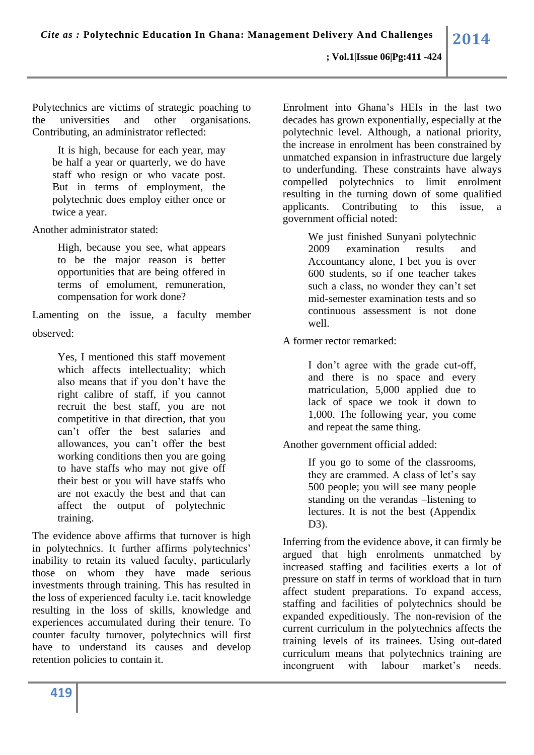Polytechnics are victims of strategic poaching to the universities and other organisations. Contributing, an administrator reflected:

It is high, because for each year, may be half a year or quarterly, we do have staff who resign or who vacate post. But in terms of employment, the polytechnic does employ either once or twice a year.

Another administrator stated:

High, because you see, what appears to be the major reason is better opportunities that are being offered in terms of emolument, remuneration, compensation for work done?

Lamenting on the issue, a faculty member observed:

> Yes, I mentioned this staff movement which affects intellectuality; which also means that if you don't have the right calibre of staff, if you cannot recruit the best staff, you are not competitive in that direction, that you can't offer the best salaries and allowances, you can't offer the best working conditions then you are going to have staffs who may not give off their best or you will have staffs who are not exactly the best and that can affect the output of polytechnic training.

The evidence above affirms that turnover is high in polytechnics. It further affirms polytechnics' inability to retain its valued faculty, particularly those on whom they have made serious investments through training. This has resulted in the loss of experienced faculty i.e. tacit knowledge resulting in the loss of skills, knowledge and experiences accumulated during their tenure. To counter faculty turnover, polytechnics will first have to understand its causes and develop retention policies to contain it.

Enrolment into Ghana's HEIs in the last two decades has grown exponentially, especially at the polytechnic level. Although, a national priority, the increase in enrolment has been constrained by unmatched expansion in infrastructure due largely to underfunding. These constraints have always compelled polytechnics to limit enrolment resulting in the turning down of some qualified applicants. Contributing to this issue, a government official noted:

> We just finished Sunyani polytechnic 2009 examination results and Accountancy alone, I bet you is over 600 students, so if one teacher takes such a class, no wonder they can't set mid-semester examination tests and so continuous assessment is not done well.

A former rector remarked:

I don't agree with the grade cut-off, and there is no space and every matriculation, 5,000 applied due to lack of space we took it down to 1,000. The following year, you come and repeat the same thing.

Another government official added:

If you go to some of the classrooms, they are crammed. A class of let's say 500 people; you will see many people standing on the verandas –listening to lectures. It is not the best (Appendix D3).

Inferring from the evidence above, it can firmly be argued that high enrolments unmatched by increased staffing and facilities exerts a lot of pressure on staff in terms of workload that in turn affect student preparations. To expand access, staffing and facilities of polytechnics should be expanded expeditiously. The non-revision of the current curriculum in the polytechnics affects the training levels of its trainees. Using out-dated curriculum means that polytechnics training are incongruent with labour market's needs.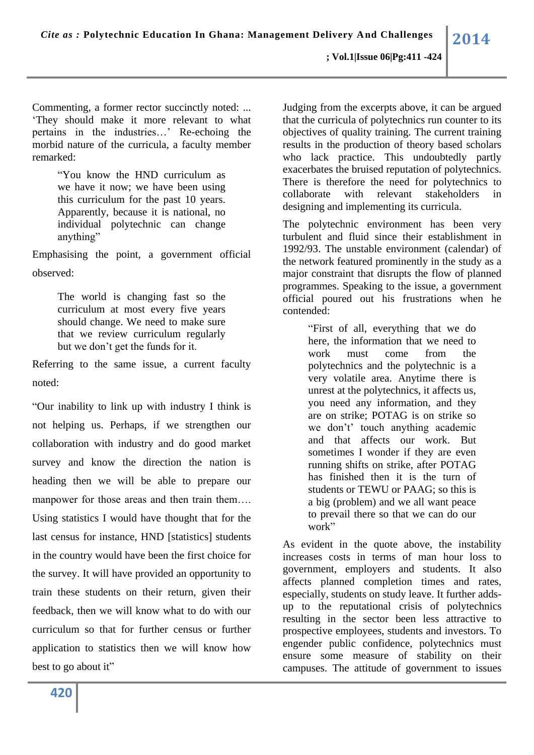**; Vol.1|Issue 06|Pg:411 -424**

Commenting, a former rector succinctly noted: ... 'They should make it more relevant to what pertains in the industries…' Re-echoing the morbid nature of the curricula, a faculty member remarked:

> "You know the HND curriculum as we have it now; we have been using this curriculum for the past 10 years. Apparently, because it is national, no individual polytechnic can change anything"

Emphasising the point, a government official observed:

> The world is changing fast so the curriculum at most every five years should change. We need to make sure that we review curriculum regularly but we don't get the funds for it.

Referring to the same issue, a current faculty noted:

"Our inability to link up with industry I think is not helping us. Perhaps, if we strengthen our collaboration with industry and do good market survey and know the direction the nation is heading then we will be able to prepare our manpower for those areas and then train them…. Using statistics I would have thought that for the last census for instance, HND [statistics] students in the country would have been the first choice for the survey. It will have provided an opportunity to train these students on their return, given their feedback, then we will know what to do with our curriculum so that for further census or further application to statistics then we will know how best to go about it"

Judging from the excerpts above, it can be argued that the curricula of polytechnics run counter to its objectives of quality training. The current training results in the production of theory based scholars who lack practice. This undoubtedly partly exacerbates the bruised reputation of polytechnics. There is therefore the need for polytechnics to collaborate with relevant stakeholders in designing and implementing its curricula.

The polytechnic environment has been very turbulent and fluid since their establishment in 1992/93. The unstable environment (calendar) of the network featured prominently in the study as a major constraint that disrupts the flow of planned programmes. Speaking to the issue, a government official poured out his frustrations when he contended:

> "First of all, everything that we do here, the information that we need to work must come from the polytechnics and the polytechnic is a very volatile area. Anytime there is unrest at the polytechnics, it affects us, you need any information, and they are on strike; POTAG is on strike so we don't' touch anything academic and that affects our work. But sometimes I wonder if they are even running shifts on strike, after POTAG has finished then it is the turn of students or TEWU or PAAG; so this is a big (problem) and we all want peace to prevail there so that we can do our work"

As evident in the quote above, the instability increases costs in terms of man hour loss to government, employers and students. It also affects planned completion times and rates, especially, students on study leave. It further addsup to the reputational crisis of polytechnics resulting in the sector been less attractive to prospective employees, students and investors. To engender public confidence, polytechnics must ensure some measure of stability on their campuses. The attitude of government to issues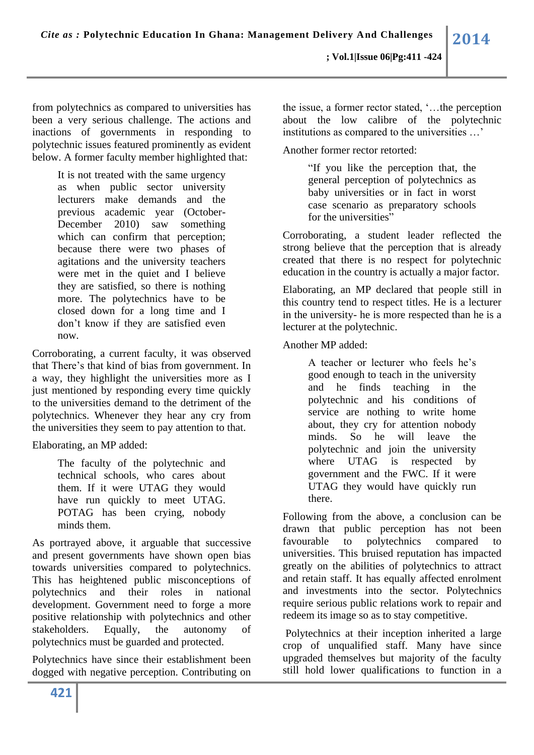from polytechnics as compared to universities has been a very serious challenge. The actions and inactions of governments in responding to polytechnic issues featured prominently as evident below. A former faculty member highlighted that:

> It is not treated with the same urgency as when public sector university lecturers make demands and the previous academic year (October-December 2010) saw something which can confirm that perception; because there were two phases of agitations and the university teachers were met in the quiet and I believe they are satisfied, so there is nothing more. The polytechnics have to be closed down for a long time and I don't know if they are satisfied even now.

Corroborating, a current faculty, it was observed that There's that kind of bias from government. In a way, they highlight the universities more as I just mentioned by responding every time quickly to the universities demand to the detriment of the polytechnics. Whenever they hear any cry from the universities they seem to pay attention to that.

Elaborating, an MP added:

The faculty of the polytechnic and technical schools, who cares about them. If it were UTAG they would have run quickly to meet UTAG. POTAG has been crying, nobody minds them.

As portrayed above, it arguable that successive and present governments have shown open bias towards universities compared to polytechnics. This has heightened public misconceptions of polytechnics and their roles in national development. Government need to forge a more positive relationship with polytechnics and other stakeholders. Equally, the autonomy of polytechnics must be guarded and protected.

Polytechnics have since their establishment been dogged with negative perception. Contributing on the issue, a former rector stated, '…the perception about the low calibre of the polytechnic institutions as compared to the universities …'

Another former rector retorted:

"If you like the perception that, the general perception of polytechnics as baby universities or in fact in worst case scenario as preparatory schools for the universities"

Corroborating, a student leader reflected the strong believe that the perception that is already created that there is no respect for polytechnic education in the country is actually a major factor.

Elaborating, an MP declared that people still in this country tend to respect titles. He is a lecturer in the university- he is more respected than he is a lecturer at the polytechnic.

Another MP added:

A teacher or lecturer who feels he's good enough to teach in the university and he finds teaching in the polytechnic and his conditions of service are nothing to write home about, they cry for attention nobody minds. So he will leave the polytechnic and join the university where UTAG is respected by government and the FWC. If it were UTAG they would have quickly run there.

Following from the above, a conclusion can be drawn that public perception has not been favourable to polytechnics compared to universities. This bruised reputation has impacted greatly on the abilities of polytechnics to attract and retain staff. It has equally affected enrolment and investments into the sector. Polytechnics require serious public relations work to repair and redeem its image so as to stay competitive.

Polytechnics at their inception inherited a large crop of unqualified staff. Many have since upgraded themselves but majority of the faculty still hold lower qualifications to function in a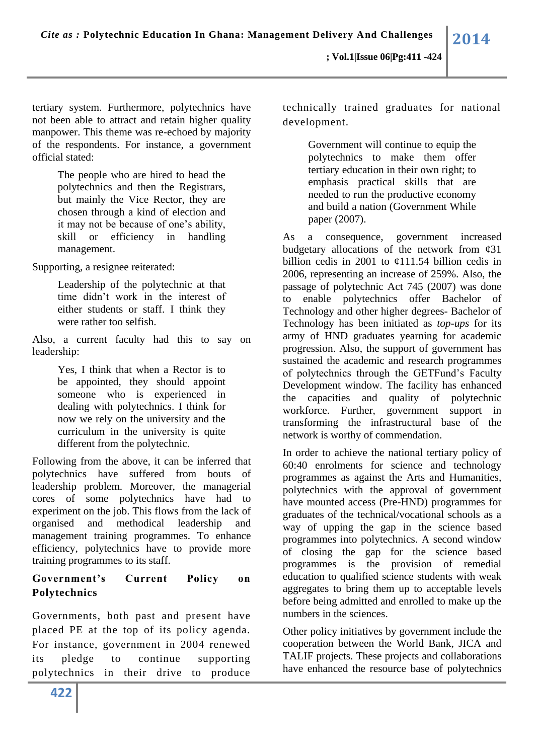tertiary system. Furthermore, polytechnics have not been able to attract and retain higher quality manpower. This theme was re-echoed by majority of the respondents. For instance, a government official stated:

> The people who are hired to head the polytechnics and then the Registrars, but mainly the Vice Rector, they are chosen through a kind of election and it may not be because of one's ability, skill or efficiency in handling management.

Supporting, a resignee reiterated:

Leadership of the polytechnic at that time didn't work in the interest of either students or staff. I think they were rather too selfish.

Also, a current faculty had this to say on leadership:

> Yes, I think that when a Rector is to be appointed, they should appoint someone who is experienced in dealing with polytechnics. I think for now we rely on the university and the curriculum in the university is quite different from the polytechnic.

Following from the above, it can be inferred that polytechnics have suffered from bouts of leadership problem. Moreover, the managerial cores of some polytechnics have had to experiment on the job. This flows from the lack of organised and methodical leadership and management training programmes. To enhance efficiency, polytechnics have to provide more training programmes to its staff.

# **Government's Current Policy on Polytechnics**

Governments, both past and present have placed PE at the top of its policy agenda. For instance, government in 2004 renewed its pledge to continue supporting polytechnics in their drive to produce technically trained graduates for national development.

> Government will continue to equip the polytechnics to make them offer tertiary education in their own right; to emphasis practical skills that are needed to run the productive economy and build a nation (Government While paper (2007).

As a consequence, government increased budgetary allocations of the network from  $\varphi$ 31 billion cedis in 2001 to  $\mathcal{L}111.54$  billion cedis in 2006, representing an increase of 259%. Also, the passage of polytechnic Act 745 (2007) was done to enable polytechnics offer Bachelor of Technology and other higher degrees- Bachelor of Technology has been initiated as *top-ups* for its army of HND graduates yearning for academic progression. Also, the support of government has sustained the academic and research programmes of polytechnics through the GETFund's Faculty Development window. The facility has enhanced the capacities and quality of polytechnic workforce. Further, government support in transforming the infrastructural base of the network is worthy of commendation.

In order to achieve the national tertiary policy of 60:40 enrolments for science and technology programmes as against the Arts and Humanities, polytechnics with the approval of government have mounted access (Pre-HND) programmes for graduates of the technical/vocational schools as a way of upping the gap in the science based programmes into polytechnics. A second window of closing the gap for the science based programmes is the provision of remedial education to qualified science students with weak aggregates to bring them up to acceptable levels before being admitted and enrolled to make up the numbers in the sciences.

Other policy initiatives by government include the cooperation between the World Bank, JICA and TALIF projects. These projects and collaborations have enhanced the resource base of polytechnics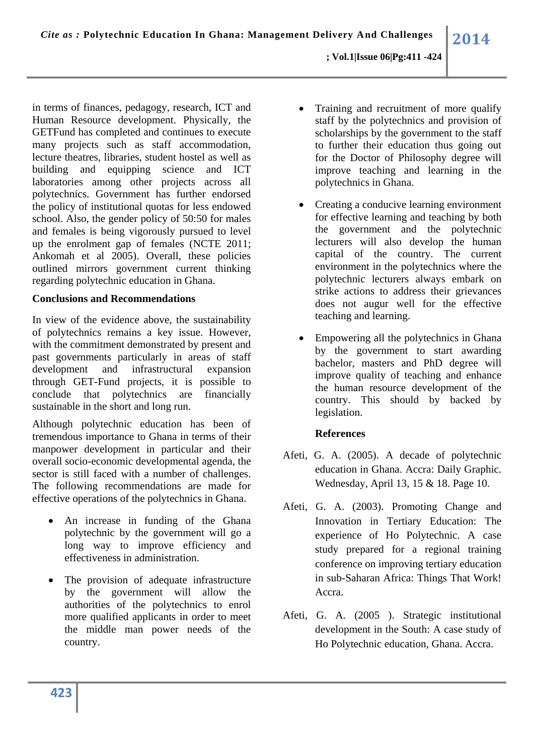in terms of finances, pedagogy, research, ICT and Human Resource development. Physically, the GETFund has completed and continues to execute many projects such as staff accommodation, lecture theatres, libraries, student hostel as well as building and equipping science and ICT laboratories among other projects across all polytechnics. Government has further endorsed the policy of institutional quotas for less endowed school. Also, the gender policy of 50:50 for males and females is being vigorously pursued to level up the enrolment gap of females (NCTE 2011; Ankomah et al 2005). Overall, these policies outlined mirrors government current thinking regarding polytechnic education in Ghana.

## **Conclusions and Recommendations**

In view of the evidence above, the sustainability of polytechnics remains a key issue. However, with the commitment demonstrated by present and past governments particularly in areas of staff development and infrastructural expansion through GET-Fund projects, it is possible to conclude that polytechnics are financially sustainable in the short and long run.

Although polytechnic education has been of tremendous importance to Ghana in terms of their manpower development in particular and their overall socio-economic developmental agenda, the sector is still faced with a number of challenges. The following recommendations are made for effective operations of the polytechnics in Ghana.

- An increase in funding of the Ghana polytechnic by the government will go a long way to improve efficiency and effectiveness in administration.
- The provision of adequate infrastructure by the government will allow the authorities of the polytechnics to enrol more qualified applicants in order to meet the middle man power needs of the country.
- Training and recruitment of more qualify staff by the polytechnics and provision of scholarships by the government to the staff to further their education thus going out for the Doctor of Philosophy degree will improve teaching and learning in the polytechnics in Ghana.
- Creating a conducive learning environment for effective learning and teaching by both the government and the polytechnic lecturers will also develop the human capital of the country. The current environment in the polytechnics where the polytechnic lecturers always embark on strike actions to address their grievances does not augur well for the effective teaching and learning.
- Empowering all the polytechnics in Ghana by the government to start awarding bachelor, masters and PhD degree will improve quality of teaching and enhance the human resource development of the country. This should by backed by legislation.

## **References**

- Afeti, G. A. (2005). A decade of polytechnic education in Ghana. Accra: Daily Graphic. Wednesday, April 13, 15 & 18. Page 10.
- Afeti, G. A. (2003). Promoting Change and Innovation in Tertiary Education: The experience of Ho Polytechnic. A case study prepared for a regional training conference on improving tertiary education in sub-Saharan Africa: Things That Work! Accra.
- Afeti, G. A. (2005 ). Strategic institutional development in the South: A case study of Ho Polytechnic education, Ghana. Accra.